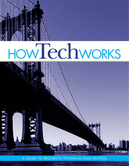

# HOWTechWORKS



A GUIDE TO BROOKLYN TECHNICAL HIGH SCHOOL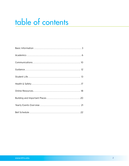### table of contents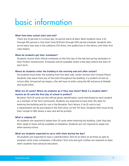### <span id="page-2-0"></span>basic information

### **What time does school start and end?**

There are 10 periods in a school day. 1st period starts at 8am. Most students have a 1st through 9th period or 2nd (start time 8:47am) through 10th period schedule. Students who arrive early may stay in the cafeteria (7th floor), the auditorium or the library until their first class begins.

### **When do students get their schedules?**

Students receive their official schedules on the first day of the fall and spring semesters in their Prefect (homeroom). Schedules will be available online a few days before the start of each term.

### **Where do students enter the building in the morning and exit after school?**

All students must enter the building from the west side, center section (Fort Greene Place). Students may leave from any of the exits throughout the building. If a student arrives at school after 3rd period has begun, s/he will have to enter using the NE entrance at DeKalb and South Elliot.

### **What are ID cards? Where do students go if they lose them? What if a student didn't receive an ID card the first day of school in prefect?**

Brooklyn Tech ID cards are the official photo identification cards distributed to each student as a member of the Tech community. Students are expected to have their IDs daily for entering the building and for use in the Brooklyn Tech library. If an ID card is lost, a replacement can be purchased in the SGO store, on the 7th floor. Students then must bring their receipt to 1W2 where a new card will be printed.

### **What is swiping in?**

All students are required to swipe their ID cards when entering the building. Later that day their swipe in times will be available on Daedelus. Students are not required to swipe out when leaving school.

### **What are students expected to carry with them during the day?**

All students are expected to have a valid Brooklyn Tech ID on them at all times as well as program cards (class schedules). A Brooklyn Tech lock and gym clothes are required on days when students have physical education.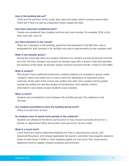### **How is the building laid out?**

There are five sections: north, south, east, west and center, which connects east to west. There are 9 floors as well as a basement where classes are held.

### **How does classroom numbering work?**

Classes are numbered: floor, building sections and room number. For example: 2E14 is 2nd floor, east side, room 14.

### **Are there elevators in the school?**

There are 7 elevators in the building, going from the basement to the 8th floor. One is designated for staff, another is for facilities only and is used primarily by the custodial staff.

### **What is the elevator policy?**

During the school day there are usually 2 elevators for student use that go directly from the 1st to the 7th floor. Student may receive an elevator pass with a doctor's note that specifies the duration of the need. All elevator passes must be received from Ms. O'Hara in room BW2.

### **What is prefect?**

Tech doesn't have traditional homerooms. Instead students are arranged in groups called "prefects" which only meet once or twice a term for distribution of important school materials. At the start of the school year prefect lists with room numbers will be posted outside the auditorium and also posted on the Brooklyn Tech website. Prefect information is also listed on each student's class schedule.

### **When is lunch?**

Students are scheduled for lunch between 4th and 8th periods. The cafeteria on the 7th floor.

### **Are students permitted to leave the building during lunch?**

There is no out lunch at Tech.

### **Do students have to spend lunch periods in the cafeteria?**

Students are allowed in the library during lunch or may choose to provide service for a teacher or department office during their lunch period for service credit.

### **What is a lunch form?**

Lunch forms are used to determine eligibility for free or reduced price lunches, SAT, Advanced Placement, and College Application fee waivers, and other free programs based on family income levels. If 60% or more students qualify for free lunch, Tech could receive additional funds to support student programs and activities.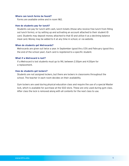### **Where can lunch forms be found?**

Forms are available online and in room 1W2.

### **How do students pay for lunch?**

Students can pay for lunch with cash, lunch tickets (those who receive free lunch from filling out lunch forms), or by setting up and activating an account attached to their student ID card. Students may deposit money attached to that ID and utilize it as a declining balance meal card. Money may be added to it at any time in school, or via website.

### **When do students get Metrocards?**

Metrocards are given out twice a year. In September (good thru 1/31) and February (good thru the end of the school year). Each card is registered to a specific student.

### **What if a Metrocard is lost?**

If a Metrocard is lost students must go to 1N1, between 2:30pm and 4:30pm for a replacement.

### **How do students get lockers?**

Students are not assigned lockers, but there are lockers in classrooms throughout the school. The teacher in each room decides on their availability.

Gym lockers are used during physical education class and require the use of a special Master lock, which is available for purchase at the SGO store. These are only used during gym class. After class the lock is removed along with all contents for the next class to use.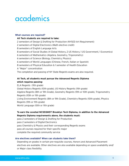### <span id="page-5-0"></span>academics

### **What courses are required?**

### **All Tech students are required to take:**

2 semesters of Design & Drafting for Production (NYSED Art Requirement)

- 2 semesters of Digital Electronics (Math elective credit)
- 8 semesters of English Language Arts
- 8 semesters of Social Studies (4 Global History, 2 US History, 1 US Government, 1 Economics)
- 6 semesters of Mathematics (Algebra, Geometry, Trigonometry)
- 6 semesters of Science (Biology, Chemistry, Physics)
- 6 semesters of World Languages (Chinese, French, Italian or Spanish)
- 8 semesters of Physical Education & 1 semester of Health Education
- A "Major" concentration

The completion and passing of NY State Regents exams are also required.

### **At Tech, all students must pursue the Advanced Regents Diploma which requires passing:**

ELA Regents (11th grade) Global History Regents (10th grade), US History Regents (11th grade) Algebra Regents (8th or 9th Grade), Geometry Regents (9th or 10th grade), Trigonometry Regents (10th or 11th grade) Living Environment Regents (8th or 9th Grade), Chemistry Regents (10th grade), Physics Regents (9th or 11th grade) World Language (10th or 11th grade)

### **To earn the coveted NCSSSMST Brooklyn Tech Diploma, in addition to the Advanced Regents Diploma requirements above, the students must:**

pass 2 semesters of Design & Drafting for Production pass 2 semesters of Digital Electronics pass Chemistry & Physics and their corresponding Regents exams pass all courses required for their specific major complete the required community service

### **Are electives available? When can students take them?**

Depending on grades in certain pre-requisite courses, Honors and Advanced Placement electives are available. Other electives are also available depending on space availability and/ or Major class flexibility.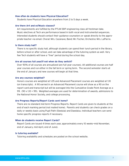### **How often do students have Physical Education?**

Students have Physical Education anywhere from 2 to 5 days a week.

### **Are there Art and or/Music classes?**

Art requirements are fulfilled by the PTLW DDP engineering class all freshman take. Music electives at Tech are performance based in both vocal and instrumental sequences. Interested students should contact their guidance counselors or speak directly to the appropriate teacher via email. Choral: Mrs. Cazanave, Band: Mr. Fischer, Orchestra: Mrs. LaPierre.

### **Is there study hall?**

There is no specific study hall, although students can spend their lunch period in the library, before school or after school, and can take advantage of the tutoring system as well. Very few Tech students will have a "free" period during the school day.

### **Are all courses full year/if not when do they switch?**

Over 90% of all courses are annualized (are full year courses). All additional courses are half year courses and run either in the fall term or spring term. The second semester starts at the end of January and new courses will begin at that time.

### **Are any courses weighted?**

Honors courses are weighted at 1.05 and Advanced Placement courses are weighted at 1.10 (on transcripts). A 90 earned in an Advanced Placement course will show as a 90 on the report card and transcript but will be averaged into the Cumulative Grade Point Average as a 99. (90 x 1.10 = 99). Weighted averages are used for determination of awards, admissions to the National Honor Society, and college processing.

#### **Are Progress Reports/Report Cards sent home?**

There are no standard mid term Progress Reports. Report Cards are given to students at the end of each marking period (not mailed home). Parents and students can check grades on a daily or weekly basis using Pupil Path (Skedula) and Daedalus. Individual teachers can send home specific progress reports if necessary.

### **When do students receive Report Cards?**

Report Cards are issued 4 times each year, approximately every 10 weeks—mid November, end of January, mid April, end of June).

### **Is tutoring available?**

Tutoring availability and schedules are posted on the school website.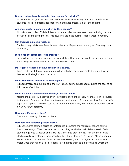### **Does a student have to go to his/her teacher for tutoring?**

No, students can go to any teacher that is available for tutoring. It is often beneficial for students to seek a different teacher for an alternate presentation of the content.

### **Are there midterms and if so when do they happen?**

Not all courses offer official midterms but some offer midyear assessments during the time between Fall and Spring terms. This usually takes place during Regents week in January.

### **Can Regents exams be retaken?**

Students may retake any Regents exam whenever Regents exams are given (January, June or August).

### **If so, does the lower score get dropped?**

Tech will use the highest score of the exams taken. However transcripts will show all grades for all Regents exams taken, not just the highest scores.

### **Do Regents classes also have regular final exams?**

Each teacher is different. Information will be noted in course contracts distributed by the teacher at the beginning of the term.

### **Who takes PSATs and when do they happen?**

All Sophomores and Juniors take the PSAT exam, during school hours, during the second or third week of October.

### **What are Majors and how does the Major system work?**

Majors are a set of 10 electives given to students during their last 2 years at Tech (4 courses junior year – 2 courses per term and 6 courses senior year – 3 courses per term) on a specific topic or discipline. These courses are in addition to those they would normally take to receive a New York City diploma.

#### **How many Majors are there?**

There are currently 16 majors at Tech.

### **How does the selection process work?**

All sophomores attend a series of conferences discussing the requirements and course load of each major. Then, the selection process begins which usually takes a week. Each student logs onto Daedalus and ranks the Majors into order 1 to 16. They are then sorted electronically by preference and, based on their Power Indexes (PI) in each Major, students are sorted into the number of classes available starting with the highest PI rank in each major. Once that major is full all students are put into their next major choice, where the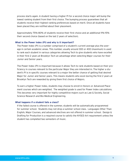process starts again. A student having a higher PI for a second choice major will bump the lowest ranking student from their first choice. The bumping process guarantees that all students receive their highest ranking preferences based on merit. Once all students have been placed they are notified about their placement.

Approximately 75%-80% of students receive their first choice and an additional 11%-15% their second choice (based on the last 2 years of selection).

### **What is the Power Index (PI) and why is it important?**

The Power Index (PI) is a number comprised of a student's current average plus the average in certain academic areas. This number, usually around 300 or 400 (maximum) is used to rank each student in various categories allowing Tech to give students who have excelled in their first 2 years at Brooklyn Tech an advantage when selecting Major courses for their Junior and Senior years.

The Power Index (PI) is important because it allows Tech to rank students based on their proficiency in courses relevant to the particular Major they are interested in. The higher a student's PI is in specific courses relevant to a major the better chance of getting that desired Major for Junior and Senior years. This means students who excel during the first 2 years at Brooklyn Tech are rewarded by giving them first choice of Majors.

To earn a higher Power Index, students may choose to enroll in Honors or Advanced Placement courses which are weighted. The weighted grade is used for Power Index calculations. This becomes very important for highly competitive majors such as Law & Society, Social Science Research and Bio-Medical Engineering.

### **What happens if a student fails a class?**

If the failed course is offered in the summer, students will be automatically programmed for summer school. Students may not drop a summer school class. Languages Other Than English, Major Courses, and advanced electives are not offered in summer school. Design & Drafting for Production is a required course to satisfy the NYSED Art requirement unless the student has completed two semesters of music.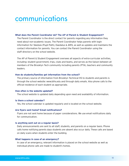### <span id="page-9-0"></span>communications

### **What does the Parent Coordinator do? The AP of Parent & Student Engagement?**

The Parent Coordinator is the direct contact for parents regarding any information they need about non-academic issues. The Parent Coordinator helps parents with login information for Skedula (Pupil Path), Daedalus & ARIS, as well as updates and maintains the contact information for parents. You can contact the Parent Coordinator using the staff directory on the school website.

The AP of Parent & Student Engagement oversees all aspects of extra-curricular activities, including: student government, trips, clubs and teams, and serves as the liaison between all members of the Brooklyn Tech community including parents (PTA), teachers and community leaders.

### **How do students/families get information from the school?**

The primary source of information from Brooklyn Technical HS to students and parents is through the school website: www.bths.edu and through daily emails. Also phone calls to the official residence of each student as appropriate.

### **How often is the website updated?**

The school website is updated daily depending upon need and availability of information.

### **Is there a school calendar?**

Yes, the school calendar is updated regularly and is located on the school website.

### **Are flyers sent home? Email notifications?**

Flyers are not sent home because of paper considerations. We use email notifications daily for communication.

### **Is anything sent out on a regular basis?**

Daily announcements are sent to all staff, students, and parents on a regular basis. Phone calls home notifying parents days students are absent also occur daily. These calls are based on daily scans when students enter the building.

### **What happens in case of an emergency?**

In case of an emergency, relevant information is placed on the school website as well as individual phone calls are made to student's homes.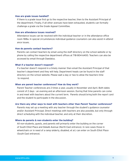### **How are grade issues handled?**

If there is a grade issue first go to the respective teacher, then to the Assistant Principal of the department. Finally, if all other avenues have been exhausted, students can formally challenge a grade via the Grade Appeal Committee.

### **How are attendance issues resolved?**

Attendance issues can be resolved with the individual teacher or in the attendance office room 1W8a. In special circumstances individual guidance counselors can also assist in attendance issues.

### **How do parents contact teachers?**

Parents can contact teachers by email using the staff directory on the school website or by phone by calling the respective department offices at 718-804-6400. Teachers can also be accessed by email through Daedalus.

### **What if a teacher doesn't respond?**

If a teacher doesn't respond in a timely manner then email the Assistant Principal of that teacher's department and they will help. Department heads can be found in the staff directory on the school website. Please wait a day or two to allow the teachers time to respond.

#### **When are parent teacher conferences? How do they work?**

Parent Teacher conferences are 2 times a year, usually in November and April. Both dates consist of 2 days - an evening and an afternoon session. During that time parents can come in and meet with teachers about the current term. Parents should bring both the report card and the student to participate in the discussion.

### **Are there any other ways to meet with teachers other than Parent Teacher conferences?**

Parents may set up a meeting with any teacher through the student's guidance counselor and/or Assistant Principal. Direct meetings with teachers are also possible, but only through direct scheduling with the individual teacher, and only at their discretion.

### **Where do parents & non-students enter the building?**

All non-students, guests, and parents will primarily enter the building on the corner of South Elliot Place and Dekalb Avenue (North East entrance). In rare cases those in wheelchairs or in need of a ramp (elderly, disabled, et al.) can enter on South Elliot Place (South East entrance).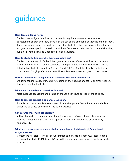### <span id="page-11-0"></span>guidance

### **How does guidance work?**

Students are assigned a guidance counselor to help them navigate the academic expectations of Brooklyn Tech, along with the social and emotional challenges of high school. Counselors are assigned by grade level until the students enter their majors. Then, they are assigned a major specific counselor. In addition, Tech has an in house, full time social worker, full time psychologist, and 3 dedicated college advisors.

### **How do students find out who their counselors are?**

Students have 3 ways to find out their guidance counselor's name. Guidance counselors names are printed on student's schedules and report cards. Guidance counselors are also listed within student accounts in Skedula (Pupil Path) or Daedalus. Finally, the first letter of a students 3 digit prefect code notes the guidance counselor assigned to that student.

### **How do students make appointments to meet with their counselors?**

Students can make appointments by stopping by their counselor's office or emailing them through the school website.

### **Where are the guidance counselors located?**

Most guidance counselors are located on the 7th floor south section of the building.

### **How do parents contact a guidance counselor?**

Parents can contact guidance counselors by email or phone. Contact information is listed under the guidance office link on the school website.

### **Can parents meet with counselors?**

Although email is recommended as the primary source of contact, parents may set up individual meetings with their child's guidance counselors depending on availability and necessity.

### **What are the procedures when a student child has an Individualized Educational Program (IEP)?**

Contact the Assistant Principal of Pupil Personnel Services in Room 7S2. Please obtain a copy of the student's IEP from his/her middle school, and make sure a copy is forwarded to BTHS.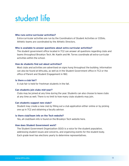### <span id="page-12-0"></span>student life

### **Who runs extra-curricular activities?**

Extra-curricular activities are run by the Coordinators of Student Activities or COSAs. Athletic teams are coordinated by the Athletic Directors.

### **Who is available to answer questions about extra curricular activities?**

The student government office located in 7C2 can answer all questions regarding clubs and teams throughout Brooklyn Tech. Mr. Kaelin and Mr. Torres coordinate all extra-curricular activities within the school.

### **How do students find out about activities?**

Most clubs and activities are advertised on signs hung throughout the building. Information can also be found at bths.edu, as well as in the Student Government office in 7C2 or the office of Parent and Student Engagement in 1W2.

### **Is there a club fair?**

A club fair is held for freshman students in the fall.

### **Can students join clubs mid-year?**

Clubs may be joined at any time during the year. Students can also choose to leave clubs at any time as well. There is no limit to how many clubs students may join.

### **Can students suggest new clubs?**

Student may create a new club by filling out a club application either online or by picking one up in 7C2 and obtaining a faculty advisor.

### **Is there club/team info on the Tech website?**

Yes, all club/team info is found on the Brooklyn Tech website here.

### **How does Student Government work?**

The Student Government Organization (SGO) is a voice for the student population, addressing student issues and concerns, and organizing events for the student body. Each grade level has elections yearly to determine representatives.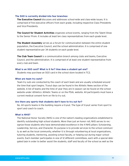### **The SGO is currently divided into four branches:**

**The Executive Council** discusses and addresses school-wide and class-wide issues. It is comprised of five executive officers from each grade, including respective Class Presidents and Vice-Presidents.

**The Council for Student Activities** organizes school events, ranging from the Talent Show to the Senior Prom. It includes at least ten class representatives from each grade level.

**The Student Assembly** serves as a forum for communication between the entire student population, the Executive Council, and the school administration. It is comprised of one student representative per 34 students on each grade level.

**The Club Team Council** is a communication branch among clubs and teams, Executive Council, and the administration. It is comprised of at least one student representative from every club and team.

### **What is an SGO card? What is it for? How does a student get one?**

Students may purchase an SGO card in the school store located in 7C2.

### **When are team try outs?**

Team try outs are conducted by the coach of each team and are usually scheduled around the time that sport begins. Tryout days can be found in the Athletic News section of the website. A list of teams and the time of year they are in season can be found on the school website under Athletics: Athletic Teams or on the PSAL website. All participants must have a current medical consent form on file to try out.

### **Are there any sports that students don't have to try out for?**

No. All sports teams in the building require a tryout. The type of tryout varies from sport to sport and coach to coach.

### **What is NHS?**

The National Honor Society (NHS) is one of the nation's leading organizations established to identify outstanding high school students. More than just an honor roll, NHS serves to recognize those students who have demonstrated excellence in the 4 NHS pillars: Scholarship, Leadership, Service, and Character. Its purpose is to provide services to the school community as well as the local community, whether it is through volunteering at local organizations, tutoring students, mentoring, assisting school faculty, or helping out during major school events. Each member participates in one of 12 different committees, each with a special delegated task in order to better assist the students, staff and faculty of the school as well as the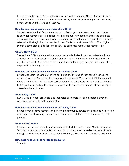local community. These 12 committees are Academic Recognition, Alumni, College Services, Communications, Community Services, Fundraising, Induction, Mentoring, Parent Services, School Environment, Tours, and Tutoring.

### **How does a student become a member of the NHS?**

Students entering their Sophomore, Junior, or Senior years may complete an application to apply for membership. Applications will be sent out to students near the end of the academic year and will be evaluated over the summer. A second round of applications is usually released at the beginning of an academic year. Students must have a GPA of 85 or higher, submit a completed application, and satisfy the point requirements for membership.

### **What is BETA Club?**

The National BETA Club is a national honor society dedicated to promoting leadership and achievement in the areas of scholarship and service. With the motto "Let us lead by serving others," the BETA club stresses the importance of honesty, justice, service, cooperation, responsibility, humility, and charity.

### **How does a student become a member of the Beta Club?**

Students can join the Beta Club in the beginning and the end of each school year. Sophomores, Juniors, or Seniors must have an overall average of 85 or better, fulfill the required hours of community service (hours vary depending on class year), verify eligibility from the COSA (Mr. Kaelin) and guidance counselor, and write a short essay on one of the two topics offered on the application.

### **What is Key Club?**

KEY Club is a student organized club that helps build character and leadership through various service events in the community.

### **How does a student become a member of the Key Club?**

Students may become members by performing community service and attending weekly club meetings, as well as completing a series of items accumulating a certain amount of points per year.

### **What is Club Credit?**

Students accrue club credit by participating in Tech clubs and/or teams. Membership on any Tech club or team grants a student a minimum of 4 credits per semester. Certain clubs who meet/practice extensively earn more than 4 credits (i.e. Debate, Key Club, BETA, NHS, etc.)

### **How much Club Credit is needed to graduate?**

32 credits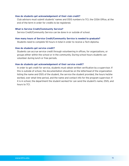### **How do students get acknowledgement of their club credit?**

Club advisors must submit students' names and OSIS numbers to 7C1, the COSA Office, at the end of the term in order for credits to be registered.

### **What is Service Credit/Community Service?**

Service Credit/Community Service can be done in or outside of school.

### **How many hours of Service Credit/Community Service is needed to graduate?**

Students need to complete 50 hours in total in order to receive a Tech diploma.

### **How do students get service credit?**

Students can accrue service credit through volunteering in offices, for organizations, or groups either within the school or in the community. During school hours students can volunteer during lunch or free periods.

### **How do students get acknowledgement of their service credit?**

In order to get credit for service, students must obtain written verification by a supervisor. If this is outside of school, the documentation should be on the letterhead of the organization listing the name and OSIS of the student, the service the student provided, the hours he/she worked, over what time period, and the name and contact info for the program supervisor. If it is in school, the department the student worked for can send the student's name, OSIS, and hours to 7C1.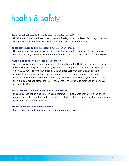# <span id="page-16-0"></span>health & safety

### **Does the school need to be contacted if a student is sick?**

No, the school does not have to be contacted if a day or two is missed. Anything more than that the student's guidance counselor should be contacted immediately.

### **Do students need to bring a doctor's note after an illness?**

Upon returning from an illness students should bring a note to teachers (either from your doctor or parent) have them sign the note, and then bring it to the attendance office (1W8a).

### **What if a child has to be picked up at school?**

All persons picking up children must enter the building at the North East Entrance (South Elliot & DeKalb) and present a valid, government issued photo ID. Only persons who appear on NYCDOE records or the Emergency Blue Contact Card may sign a student out for dismissal. Parents may not give permission over the telephone to have someone who is not listed to sign their child out of school. If you know in advance that you will be picking them up from school, please make arrangements for your child to meet you in Room 1W2 at a specific time.

### **How do students find out about missed homework?**

Missing class is not an excuse for missing homework. All students should have the phone number or email of a fellow student or two in each class. Some teachers post assignments on Moodle or via the school website.

### **Are there any make up requirements?**

Each teacher has individual make-up requirements for missed days.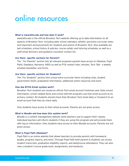### <span id="page-17-0"></span>online resources

### **What is www.bths.edu and how does it work?**

www.bths.edu is the official Brooklyn Tech website offering up to date information on all aspects of Brooklyn Tech, including daily school calendars, athletic and extra curricular news, and important announcements for students and alumni of Brooklyn Tech. Also available are bell schedules, school history & policies, course syllabi, and tutoring schedules, as well as a staff email directory and guidance counselor contact list.

### **Are there specific sections for Parents?**

The " For Parents" section lists all relevant programs parents have access to (Skedula, Pupil Path), Daedalus, Naviance, ARIS) as well as PTA contact links, minutes, Tech Talk - a weekly emailed newsletter, and forms.

### **Are there specific sections for Students?**

The "For Students" section lists school extra-curricular items including clubs, student government (SGO), graduation information, additional online resources and more.

### **How doe BTHS Email system work?**

Brooklyn Tech students are issued an official Tech email account freshman year. Daily school information, school related items and school internet programs use that email account as its primary contact. All students should check their Brooklyn Tech email daily or forward it to an email account that they do check daily.

Only students have access to their email accounts. Parents are not given access.

### **What is Moodle and how does this system work?**

Moodle is a content management website some teachers use to support their classes. Individual teachers will inform students if they are using this program and will provide them with log on information. Only students have access to their Moodle accounts. Parents are not given access.

### **What is Pupil Path (Skedula)?**

Pupil Path is an online website that allows teachers to provide parents with homework, grades, progress reports, and more. Through Pupil Path both parents & students can access student transcripts, graduation eligibility reports, and daily/course attendance. They can also view a student's course grade book, assignments, and handouts.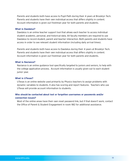Parents and students both have access to Pupil Path during their 4 years at Brooklyn Tech. Parents and students have their own individual access that differs slightly in content. Account information is given out freshman year for both parents and students.

### **What is Daedalus?**

Daedalus is an online teacher support tool that allows each teacher to access individual student academic, personal, and historical data. All faculty members are required to use Daedalus to record student, parent and teacher interaction. Both parents and students have access in order to see relevant student information (including daily arrival times).

Parents and students both have access to Daedalus during their 4 years at Brooklyn Tech. Parents and students have their own individual access that differs slightly in content. Account information is given out freshman year for both parents and students.

### **What is Naviance?**

Naviance is an online guidance tool specifically targeted to juniors and seniors, to help with the college application process. Account information is usually given out to each student junior year.

### **What is UTexas?**

UTexas is an online website used primarily by Physics teachers to assign problems with dynamic variables to students. It also has scoring and report features. Teachers who use UTexas will provide account information to students.

### **Who should be contacted about lost or forgotten usernames or passwords and/or connection issues?**

Most of the online areas have their own reset password link, but if that doesn't work, contact the Office of Parent & Student Engagement in room 1W2 for additional assistance.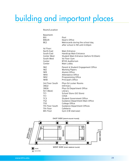# building and important places

### Room/Location

| Basement:                                                                               | Pool                                                                                                                                       |
|-----------------------------------------------------------------------------------------|--------------------------------------------------------------------------------------------------------------------------------------------|
| B <sub>S1</sub>                                                                         | Dean's Office                                                                                                                              |
| BW2/4                                                                                   | Metrocards during the school day,                                                                                                          |
| BF <sub>2</sub>                                                                         | after school in 1N1 until 4:30pm                                                                                                           |
| 1st Floor:<br>North East<br>South East<br>Center West<br>South West<br>Center<br>Center | Main Entrance<br>Handicap Main Entrance<br>Student Main Entrance (before 10:30am)<br>1st Floor Gym<br><b>BTHS Auditorium</b><br>Main Lobby |
| 1W <sub>2</sub>                                                                         | Parent & Student Engagement Office                                                                                                         |
| 1W <sub>2</sub>                                                                         | <b>Working Papers</b>                                                                                                                      |
| 1W <sub>9</sub>                                                                         | Alumni Office                                                                                                                              |
| 1W <sub>10</sub>                                                                        | Attendance Office                                                                                                                          |
| 1W12                                                                                    | Programming Office                                                                                                                         |
| 1W18                                                                                    | <b>Principal's Office</b>                                                                                                                  |
| 3rd Floor South                                                                         | Phys Ed Locker Rooms                                                                                                                       |
| 3W22                                                                                    | Infirmary                                                                                                                                  |
| 3W26                                                                                    | Phys Ed Department Office                                                                                                                  |
| 5C1 (West)                                                                              | Library                                                                                                                                    |
| 7C1                                                                                     | School Store (GO Store)                                                                                                                    |
| 7C1                                                                                     | COSA                                                                                                                                       |
| 7C <sub>3</sub>                                                                         | <b>Student Government Office</b>                                                                                                           |
| <b>7S2</b>                                                                              | Guidance Department Main Office                                                                                                            |
| <b>7S5</b>                                                                              | College Office                                                                                                                             |
| 7th Floor South                                                                         | <b>Guidance Department Offices</b>                                                                                                         |
| 7th Floor                                                                               | Cafeteria                                                                                                                                  |
| 8th Floor                                                                               | Gym (CW staircase)                                                                                                                         |

#### **EAST SIDE (SOUTH ELLIOT PLACE)**

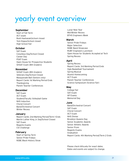### yearly event overview

### **September**

Start of Fall Term ACT exam Rosh Hashanah/school closed Yom Kippur/school closed High School Fair

### **October**

SAT Exam Columbus Day/School Closed Career Day PSAT Exam Open House for Prospective Students SHSAT Exam (8th Graders)

### **November**

SHSAT Exam (8th Graders) Veterans Day/School Closed Masquerade Ball (Seniors only) Report Cards: 1st Marking Period Ends Thanksgiving Parent Teacher Conferences

### **December**

SAT Exam ACT Exam Student/Faculty Volleyball Game NHS Induction Choral Concert Band/Orchestral Concert Winter Recess

### **January**

Report Cards: 2nd Marking Period/Term 1 Ends Martin Luther King Jr. Day/School Closed SAT Exam Regents Exams CSI Challenge

### **February**

Start of Spring Term Senior Pride Fridays NSBE Black History Show Lunar New Year Mid-Winter Recess BTHS Engineers Week

### **March**

Senior Pride Fridays Major Selection NSBE Band Showcase RUBY Engineers Luncheon Open House for Students Accepted at Tech Spring Recess

### **April**

Spring Recess Report Cards: 3rd Marking Period Ends Ogle Basketball Tournament Spring Musical Alumni Homecoming ACT Exam Parent Teacher Conferences Science Symposium (Science Fair)

### **May**

College Fair SAT Exam AP Exams Memorial Day

### **June**

Band/Orchestral Concert SAT Exam Choral Concert ACT Exam NHS Dinner Brooklyn Queens Day Senior Academic Awards Senior Athletic Awards Senior Prom Regents Exams Graduation Report Cards: 4th Marking Period/Term 2 Ends

Please check bths.edu for exact dates. Dates and events are subject to change.